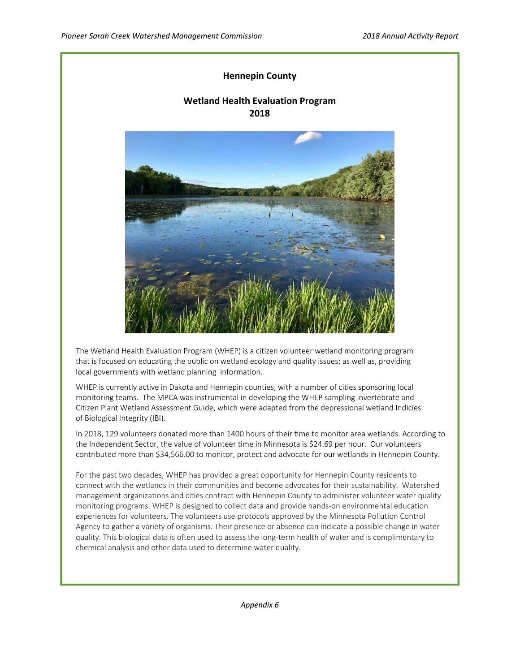# **Hennepin County**

# **Wetland Health Evaluation Program 2018**



The Wetland Health Evaluation Program (WHEP) is a citizen volunteer wetland monitoring program that is focused on educating the public on wetland ecology and quality issues; as well as, providing local governments with wetland planning information.

WHEP is currently active in Dakota and Hennepin counties, with a number of cities sponsoring local monitoring teams. The MPCA was instrumental in developing the WHEP sampling invertebrate and Citizen Plant Wetland Assessment Guide, which were adapted from the depressional wetland Indicies of Biological Integrity (IBI).

In 2018, 129 volunteers donated more than 1400 hours of their time to monitor area wetlands. According to the Independent Sector, the value of volunteer time in Minnesota is \$24.69 per hour. Our volunteers contributed more than \$34,566.00 to monitor, protect and advocate for our wetlands in Hennepin County.

For the past two decades, WHEP has provided a great opportunity for Hennepin County residents to connect with the wetlands in their communities and become advocates for their sustainability. Watershed management organizations and cities contract with Hennepin County to administer volunteer water quality monitoring programs. WHEP is designed to collect data and provide hands-on environmental education experiences for volunteers. The volunteers use protocols approved by the Minnesota Pollution Control Agency to gather a variety of organisms. Their presence or absence can indicate a possible change in water quality. This biological data is often used to assess the long‐term health of water and is complimentary to chemical analysis and other data used to determine water quality.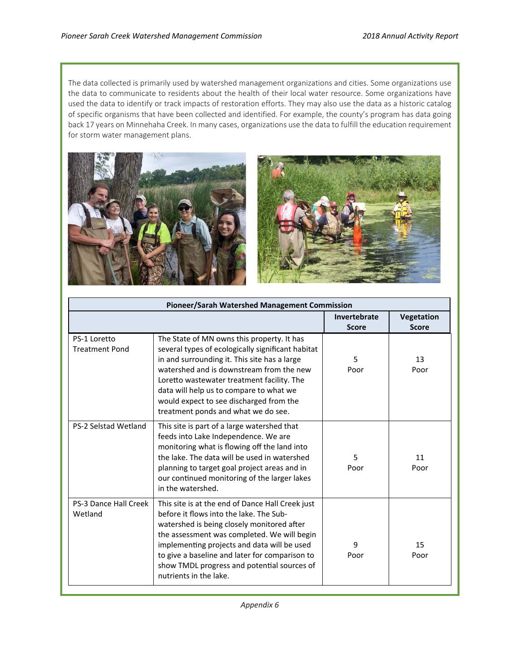The data collected is primarily used by watershed management organizations and cities. Some organizations use the data to communicate to residents about the health of their local water resource. Some organizations have used the data to identify or track impacts of restoration efforts. They may also use the data as a historic catalog of specific organisms that have been collected and identified. For example, the county's program has data going back 17 years on Minnehaha Creek. In many cases, organizations use the data to fulfill the education requirement for storm water management plans.



| Pioneer/Sarah Watershed Management Commission |                                                                                                                                                                                                                                                                                                                                                                        |              |              |
|-----------------------------------------------|------------------------------------------------------------------------------------------------------------------------------------------------------------------------------------------------------------------------------------------------------------------------------------------------------------------------------------------------------------------------|--------------|--------------|
|                                               |                                                                                                                                                                                                                                                                                                                                                                        | Invertebrate | Vegetation   |
|                                               |                                                                                                                                                                                                                                                                                                                                                                        | <b>Score</b> | <b>Score</b> |
| PS-1 Loretto<br><b>Treatment Pond</b>         | The State of MN owns this property. It has<br>several types of ecologically significant habitat<br>in and surrounding it. This site has a large<br>watershed and is downstream from the new<br>Loretto wastewater treatment facility. The<br>data will help us to compare to what we<br>would expect to see discharged from the<br>treatment ponds and what we do see. | 5<br>Poor    | 13<br>Poor   |
| <b>PS-2 Selstad Wetland</b>                   | This site is part of a large watershed that<br>feeds into Lake Independence. We are<br>monitoring what is flowing off the land into<br>the lake. The data will be used in watershed<br>planning to target goal project areas and in<br>our continued monitoring of the larger lakes<br>in the watershed.                                                               | 5.<br>Poor   | 11<br>Poor   |
| PS-3 Dance Hall Creek<br>Wetland              | This site is at the end of Dance Hall Creek just<br>before it flows into the lake. The Sub-<br>watershed is being closely monitored after<br>the assessment was completed. We will begin<br>implementing projects and data will be used<br>to give a baseline and later for comparison to<br>show TMDL progress and potential sources of<br>nutrients in the lake.     | 9<br>Poor    | 15<br>Poor   |

*Appendix 6*